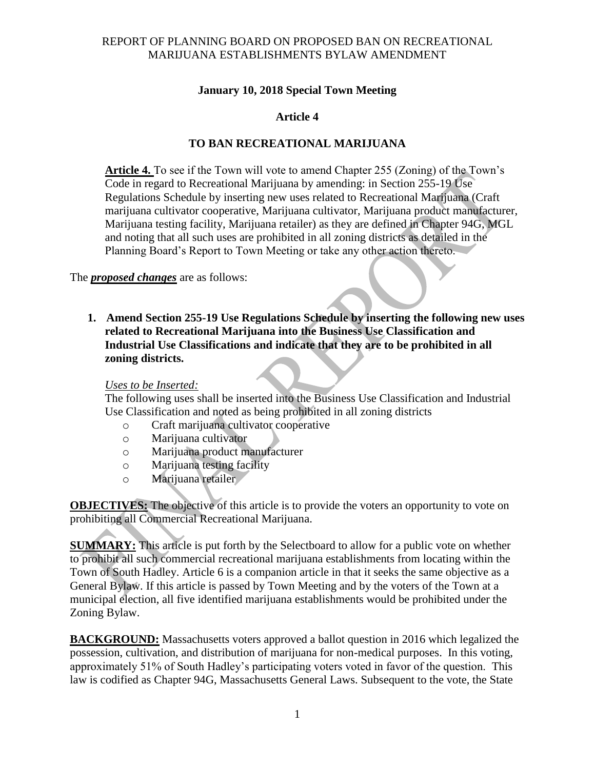### REPORT OF PLANNING BOARD ON PROPOSED BAN ON RECREATIONAL MARIJUANA ESTABLISHMENTS BYLAW AMENDMENT

### **January 10, 2018 Special Town Meeting**

# **Article 4**

## **TO BAN RECREATIONAL MARIJUANA**

**Article 4.** To see if the Town will vote to amend Chapter 255 (Zoning) of the Town's Code in regard to Recreational Marijuana by amending: in Section 255-19 Use Regulations Schedule by inserting new uses related to Recreational Marijuana (Craft marijuana cultivator cooperative, Marijuana cultivator, Marijuana product manufacturer, Marijuana testing facility, Marijuana retailer) as they are defined in Chapter 94G, MGL and noting that all such uses are prohibited in all zoning districts as detailed in the Planning Board's Report to Town Meeting or take any other action thereto.

The *proposed changes* are as follows:

**1. Amend Section 255-19 Use Regulations Schedule by inserting the following new uses related to Recreational Marijuana into the Business Use Classification and Industrial Use Classifications and indicate that they are to be prohibited in all zoning districts.**

#### *Uses to be Inserted:*

The following uses shall be inserted into the Business Use Classification and Industrial Use Classification and noted as being prohibited in all zoning districts

- o Craft marijuana cultivator cooperative
- o Marijuana cultivator
- o Marijuana product manufacturer
- o Marijuana testing facility
- o Marijuana retailer

**OBJECTIVES:** The objective of this article is to provide the voters an opportunity to vote on prohibiting all Commercial Recreational Marijuana.

**SUMMARY:** This article is put forth by the Selectboard to allow for a public vote on whether to prohibit all such commercial recreational marijuana establishments from locating within the Town of South Hadley. Article 6 is a companion article in that it seeks the same objective as a General Bylaw. If this article is passed by Town Meeting and by the voters of the Town at a municipal election, all five identified marijuana establishments would be prohibited under the Zoning Bylaw.

**BACKGROUND:** Massachusetts voters approved a ballot question in 2016 which legalized the possession, cultivation, and distribution of marijuana for non-medical purposes. In this voting, approximately 51% of South Hadley's participating voters voted in favor of the question. This law is codified as Chapter 94G, Massachusetts General Laws. Subsequent to the vote, the State